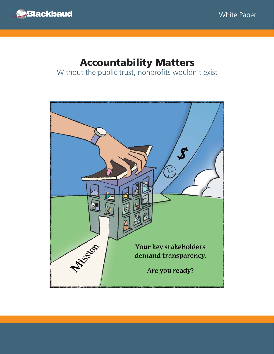

# **Accountability Matters**

Without the public trust, nonprofits wouldn't exist

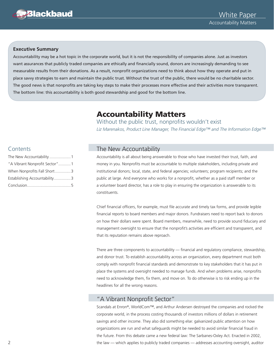

#### **Executive Summary**

Accountability may be a hot topic in the corporate world, but it is not the responsibility of companies alone. Just as investors want assurances that publicly traded companies are ethically and financially sound, donors are increasingly demanding to see measurable results from their donations. As a result, nonprofit organizations need to think about how they operate and put in place savvy strategies to earn and maintain the public trust. Without the trust of the public, there would be no charitable sector. The good news is that nonprofits are taking key steps to make their processes more effective and their activities more transparent. The bottom line: this accountability is both good stewardship and good for the bottom line.

# **Accountability Matters**

Without the public trust, nonprofits wouldn't exist *Liz Marenakos, Product Line Manager, The Financial Edge™ and The Information Edge™*

#### Contents

| The New Accountability1        |  |
|--------------------------------|--|
| "A Vibrant Nonprofit Sector" 1 |  |
| When Nonprofits Fall Short3    |  |
| Establishing Accountability3   |  |
|                                |  |

## The New Accountability

Accountability is all about being answerable to those who have invested their trust, faith, and money in you. Nonprofits must be accountable to multiple stakeholders, including private and institutional donors; local, state, and federal agencies; volunteers; program recipients; and the public at large. And everyone who works for a nonprofit, whether as a paid staff member or a volunteer board director, has a role to play in ensuring the organization is answerable to its constituents.

Chief financial officers, for example, must file accurate and timely tax forms, and provide legible financial reports to board members and major donors. Fundraisers need to report back to donors on how their dollars were spent. Board members, meanwhile, need to provide sound fiduciary and management oversight to ensure that the nonprofit's activities are efficient and transparent, and that its reputation remains above reproach.

There are three components to accountability  $-$  financial and regulatory compliance, stewardship, and donor trust. To establish accountability across an organization, every department must both comply with nonprofit financial standards and demonstrate to key stakeholders that it has put in place the systems and oversight needed to manage funds. And when problems arise, nonprofits need to acknowledge them, fix them, and move on. To do otherwise is to risk ending up in the headlines for all the wrong reasons.

#### "A Vibrant Nonprofit Sector"

Scandals at Enron®, WorldCom™, and Arthur Andersen destroyed the companies and rocked the corporate world, in the process costing thousands of investors millions of dollars in retirement savings and other income. They also did something else: galvanized public attention on how organizations are run and what safeguards might be needed to avoid similar financial fraud in the future. From this debate came a new federal law: The Sarbanes-Oxley Act. Enacted in 2002, the law — which applies to publicly traded companies — addresses accounting oversight, auditor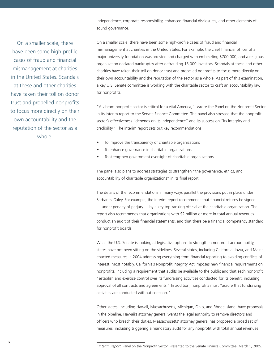independence, corporate responsibility, enhanced financial disclosures, and other elements of sound governance.

On a smaller scale, there have been some high-profile cases of fraud and financial mismanagement at charities in the United States. Scandals at these and other charities have taken their toll on donor trust and propelled nonprofits to focus more directly on their own accountability and the reputation of the sector as a whole.

On a smaller scale, there have been some high-profile cases of fraud and financial mismanagement at charities in the United States. For example, the chief financial officer of a major university foundation was arrested and charged with embezzling \$700,000, and a religious organization declared bankruptcy after defrauding 13,000 investors. Scandals at these and other charities have taken their toll on donor trust and propelled nonprofits to focus more directly on their own accountability and the reputation of the sector as a whole. As part of this examination, a key U.S. Senate committee is working with the charitable sector to craft an accountability law for nonprofits.

"A vibrant nonprofit sector is critical for a vital America,"<sup>1</sup> wrote the Panel on the Nonprofit Sector in its interim report to the Senate Finance Committee. The panel also stressed that the nonprofit sector's effectiveness "depends on its independence" and its success on "its integrity and credibility." The interim report sets out key recommendations:

- To improve the transparency of charitable organizations
- To enhance governance in charitable organizations
- To strengthen government oversight of charitable organizations

The panel also plans to address strategies to strengthen "the governance, ethics, and accountability of charitable organizations" in its final report.

The details of the recommendations in many ways parallel the provisions put in place under Sarbanes-Oxley. For example, the interim report recommends that financial returns be signed — under penalty of perjury — by a key top-ranking official at the charitable organization. The report also recommends that organizations with \$2 million or more in total annual revenues conduct an audit of their financial statements, and that there be a financial competency standard for nonprofit boards.

While the U.S. Senate is looking at legislative options to strengthen nonprofit accountability, states have not been sitting on the sidelines. Several states, including California, Iowa, and Maine, enacted measures in 2004 addressing everything from financial reporting to avoiding conflicts of interest. Most notably, California's Nonprofit Integrity Act imposes new financial requirements on nonprofits, including a requirement that audits be available to the public and that each nonprofit "establish and exercise control over its fundraising activities conducted for its benefit, including approval of all contracts and agreements." In addition, nonprofits must "assure that fundraising activities are conducted without coercion."

Other states, including Hawaii, Massachusetts, Michigan, Ohio, and Rhode Island, have proposals in the pipeline. Hawaii's attorney general wants the legal authority to remove directors and officers who breach their duties. Massachusetts' attorney general has proposed a broad set of measures, including triggering a mandatory audit for any nonprofit with total annual revenues

 $\overline{a}$ 

<sup>&</sup>lt;sup>1</sup> Interim Report. Panel on the Nonprofit Sector. Presented to the Senate Finance Committee, March 1, 2005.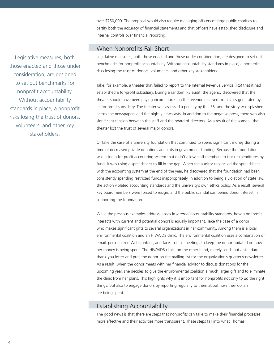over \$750,000. The proposal would also require managing officers of large public charities to certify both the accuracy of financial statements and that officers have established disclosure and internal controls over financial reporting.

#### When Nonprofits Fall Short

Legislative measures, both those enacted and those under consideration, are designed to set out benchmarks for nonprofit accountability. Without accountability standards in place, a nonprofit risks losing the trust of donors, volunteers, and other key stakeholders.

Take, for example, a theater that failed to report to the Internal Revenue Service (IRS) that it had established a for-profit subsidiary. During a random IRS audit, the agency discovered that the theater should have been paying income taxes on the revenue received from sales generated by its for-profit subsidiary. The theater was assessed a penalty by the IRS, and the story was splashed across the newspapers and the nightly newscasts. In addition to the negative press, there was also significant tension between the staff and the board of directors. As a result of the scandal, the theater lost the trust of several major donors.

Or take the case of a university foundation that continued to spend significant money during a time of decreased private donations and cuts in government funding. Because the foundation was using a for-profit accounting system that didn't allow staff members to track expenditures by fund, it was using a spreadsheet to fill in the gap. When the auditor reconciled the spreadsheet with the accounting system at the end of the year, he discovered that the foundation had been consistently spending restricted funds inappropriately. In addition to being a violation of state law, the action violated accounting standards and the university's own ethics policy. As a result, several key board members were forced to resign, and the public scandal dampened donor interest in supporting the foundation.

While the previous examples address lapses in *internal* accountability standards, how a nonprofit interacts with current and potential donors is equally important. Take the case of a donor who makes significant gifts to several organizations in her community. Among them is a local environmental coalition and an HIV/AIDS clinic. The environmental coalition uses a combination of email, personalized Web content, and face-to-face meetings to keep the donor updated on how her money is being spent. The HIV/AIDS clinic, on the other hand, merely sends out a standard thank-you letter and puts the donor on the mailing list for the organization's quarterly newsletter. As a result, when the donor meets with her financial advisor to discuss donations for the upcoming year, she decides to give the environmental coalition a much larger gift and to eliminate the clinic from her plans. This highlights why it is important for nonprofits not only to *do* the right things, but also to engage donors by reporting regularly to them about how their dollars are being spent.

## Establishing Accountability

The good news is that there are steps that nonprofits can take to make their financial processes more effective and their activities more transparent. These steps fall into what Thomas

Legislative measures, both those enacted and those under consideration, are designed to set out benchmarks for nonprofit accountability. Without accountability standards in place, a nonprofit risks losing the trust of donors, volunteers, and other key stakeholders.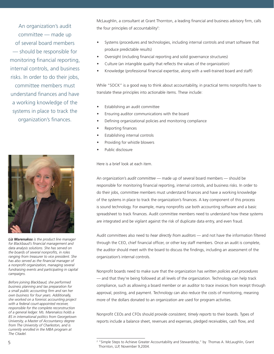An organization's audit committee — made up of several board members — should be responsible for monitoring financial reporting, internal controls, and business risks. In order to do their jobs, committee members must

understand finances and have a working knowledge of the systems in place to track the organization's finances.



*Liz Marenakos is the product line manager*  for Blackbaud's financial management and *data analysis solutions. She has served on the boards of several nonprofi ts, in roles ranging from treasurer to vice president. She*  has also served as the financial manager of *a nonprofi t organization, managing several fundraising events and participating in capital campaigns.* 

*Before joining Blackbaud, she performed business planning and tax preparation for a small public accounting fi rm and ran her own business for four years. Additionally, she worked on a forensic accounting project with a federal court-appointed receiver, responsible for the complete reconstruction of a general ledger. Ms. Marenakos holds a BS in international politics from Georgetown University, a Master of Accountancy degree from The University of Charleston, and is currently enrolled in the MBA program at The Citadel.*

McLaughlin, a consultant at Grant Thornton, a leading financial and business advisory firm, calls the four principles of accountability<sup>2</sup>:

- Systems (procedures and technologies, including internal controls and smart software that produce predictable results)
- Oversight (including financial reporting and solid governance structures)
- Culture (an intangible quality that reflects the values of the organization)
- Knowledge (professional financial expertise, along with a well-trained board and staff)

While "SOCK" is a good way to think about accountability, in practical terms nonprofits have to translate these principles into actionable items. These include:

- Establishing an audit committee
- Ensuring auditor communications with the board
- Defining organizational policies and monitoring compliance
- Reporting finances
- Establishing internal controls
- Providing for whistle blowers
- Public disclosure

 $\overline{a}$ 

Here is a brief look at each item.

An organization's *audit committee* — made up of several board members — should be responsible for monitoring financial reporting, internal controls, and business risks. In order to do their jobs, committee members must understand finances and have a working knowledge of the systems in place to track the organization's finances. A key component of this process is sound technology. For example, many nonprofits use both accounting software and a basic spreadsheet to track finances. Audit committee members need to understand how these systems are integrated and be vigilant against the risk of duplicate data entry, and even fraud.

Audit committees also need to hear directly from auditors - and not have the information filtered through the CEO, chief financial officer, or other key staff members. Once an audit is complete, the auditor should meet with the board to discuss the findings, including an assessment of the organization's internal controls.

Nonprofi t boards need to make sure that the organization has *written policies and procedures*  — and that they're being followed at all levels of the organization. Technology can help track compliance, such as allowing a board member or an auditor to trace invoices from receipt through approval, posting, and payment. Technology can also reduce the costs of monitoring, meaning more of the dollars donated to an organization are used for program activities.

Nonprofit CEOs and CFOs should provide *consistent, timely reports* to their boards. Types of reports include a balance sheet, revenues and expenses, pledged receivables, cash flow, and

<sup>&</sup>lt;sup>2</sup> "Simple Steps to Achieve Greater Accountability and Stewardship," by Thomas A. McLaughlin, Grant Thornton, LLP, November 9,2004.